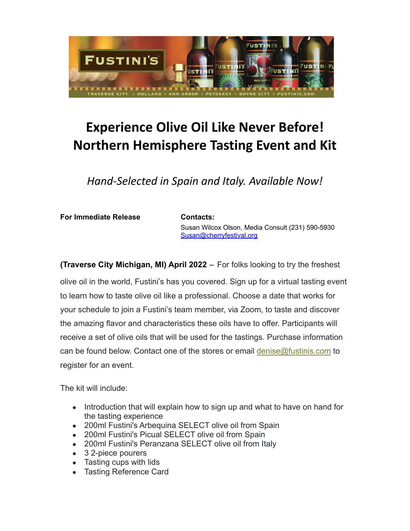

## **Experience Olive Oil Like Never Before! Northern Hemisphere Tasting Event and Kit**

*Hand-Selected in Spain and Italy. Available Now!*

**For Immediate Release Contacts:**

Susan Wilcox Olson, Media Consult (231) 590-5930 [Susan@cherryfestival.org](mailto:Susan@cherryfestival.org)

**(Traverse City Michigan, MI) April 2022** – For folks looking to try the freshest

olive oil in the world, Fustini's has you covered. Sign up for a virtual tasting event to learn how to taste olive oil like a professional. Choose a date that works for your schedule to join a Fustini's team member, via Zoom, to taste and discover the amazing flavor and characteristics these oils have to offer. Participants will receive a set of olive oils that will be used for the tastings. Purchase information can be found below. Contact one of the stores or email [denise@fustinis.com](mailto:denise@fustinis.com) to register for an event.

The kit will include:

- Introduction that will explain how to sign up and what to have on hand for the tasting experience
- 200ml Fustini's Arbequina SELECT olive oil from Spain
- 200ml Fustini's Picual SELECT olive oil from Spain
- 200ml Fustini's Peranzana SELECT olive oil from Italy
- 3 2-piece pourers
- Tasting cups with lids
- Tasting Reference Card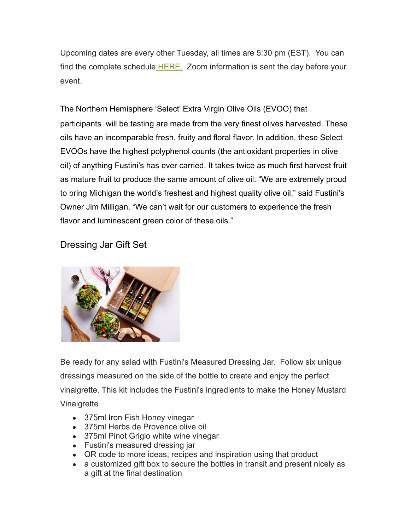Upcoming dates are every other Tuesday, all times are 5:30 pm (EST). You can find the complete schedule [HERE.](https://www.fustinis.com/events/) Zoom information is sent the day before your event.

The Northern Hemisphere 'Select' Extra Virgin Olive Oils (EVOO) that participants will be tasting are made from the very finest olives harvested. These oils have an incomparable fresh, fruity and floral flavor. In addition, these Select EVOOs have the highest polyphenol counts (the antioxidant properties in olive oil) of anything Fustini's has ever carried. It takes twice as much first harvest fruit as mature fruit to produce the same amount of olive oil. "We are extremely proud to bring Michigan the world's freshest and highest quality olive oil," said Fustini's Owner Jim Milligan. "We can't wait for our customers to experience the fresh flavor and luminescent green color of these oils."

## Dressing Jar Gift Set



Be ready for any salad with Fustini's Measured Dressing Jar. Follow six unique dressings measured on the side of the bottle to create and enjoy the perfect vinaigrette. This kit includes the Fustini's ingredients to make the Honey Mustard Vinaigrette

- 375ml Iron Fish Honey vinegar
- 375ml Herbs de Provence olive oil
- 375ml Pinot Grigio white wine vinegar
- Fustini's measured dressing jar
- QR code to more ideas, recipes and inspiration using that product
- a customized gift box to secure the bottles in transit and present nicely as a gift at the final destination